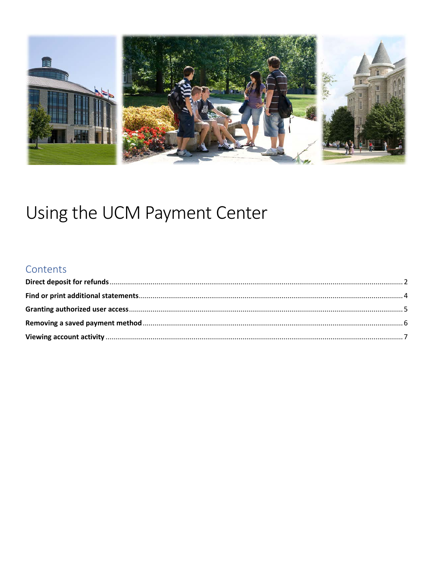

# Using the UCM Payment Center

#### Contents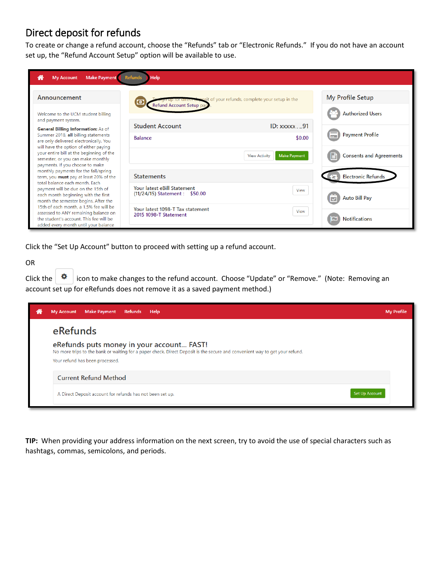#### <span id="page-1-0"></span>Direct deposit for refunds

To create or change a refund account, choose the "Refunds" tab or "Electronic Refunds." If you do not have an account set up, the "Refund Account Setup" option will be available to use.

| <b>Make Payment</b> Refunds<br>⋘<br><b>My Account</b>                                                                                                             | Help                                                                          |                                                    |
|-------------------------------------------------------------------------------------------------------------------------------------------------------------------|-------------------------------------------------------------------------------|----------------------------------------------------|
| Announcement<br>Welcome to the UCM student billing                                                                                                                | posit of your refunds, complete your setup in the<br>Refund Account Setup pag | <b>My Profile Setup</b><br><b>Authorized Users</b> |
| and payment system.<br>General Billing Information: As of                                                                                                         | <b>Student Account</b><br><b>ID:</b> xxxxx<br>91                              |                                                    |
| Summer 2018, all billing statements<br>are only delivered electronically. You<br>will have the option of either paying                                            | \$0.00<br><b>Balance</b>                                                      | <b>Payment Profile</b><br>m 1                      |
| your entire bill at the beginning of the<br>semester, or you can make monthly<br>payments. If you choose to make                                                  | <b>Make Payment</b><br><b>View Activity</b>                                   | <b>Consents and Agreements</b>                     |
| monthly payments for the fall/spring<br>term, you must pay at least 20% of the<br>total balance each month. Fach                                                  | <b>Statements</b>                                                             | <b>Electronic Refunds</b>                          |
| payment will be due on the 15th of<br>each month beginning with the first<br>month the semester begins. After the                                                 | Your latest eBill Statement<br>View<br>(11/24/15) Statement : \$50.00         | <b>Auto Bill Pay</b>                               |
| 15th of each month, a 1.5% fee will be<br>assessed to ANY remaining balance on<br>the student's account. This fee will be<br>added every month until your balance | Your latest 1098-T Tax statement<br>View<br>2015 1098-T Statement             | <b>Notifications</b>                               |

Click the "Set Up Account" button to proceed with setting up a refund account.

#### OR

Click the  $\|\Phi\|$  icon to make changes to the refund account. Choose "Update" or "Remove." (Note: Removing an account set up for eRefunds does not remove it as a saved payment method.)

| m | <b>Make Payment</b><br>Refunds Help<br><b>My Account</b>                                                                                                                                                    | <b>My Profile</b> |
|---|-------------------------------------------------------------------------------------------------------------------------------------------------------------------------------------------------------------|-------------------|
|   | eRefunds                                                                                                                                                                                                    |                   |
|   | eRefunds puts money in your account FAST!<br>No more trips to the bank or waiting for a paper check. Direct Deposit is the secure and convenient way to get your refund.<br>Your refund has been processed. |                   |
|   | <b>Current Refund Method</b>                                                                                                                                                                                |                   |
|   | <b>Set Up Account</b><br>A Direct Deposit account for refunds has not been set up.                                                                                                                          |                   |

**TIP:** When providing your address information on the next screen, try to avoid the use of special characters such as hashtags, commas, semicolons, and periods.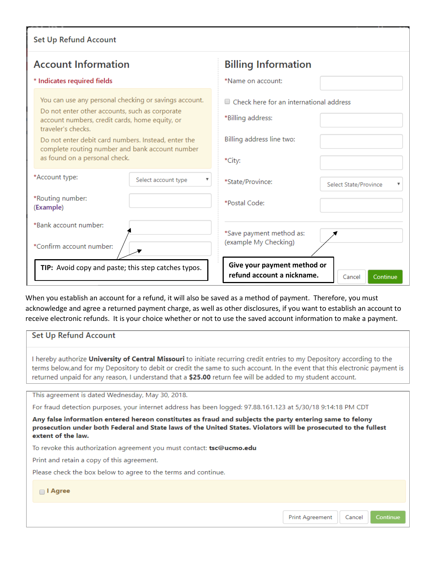| Set Up Refund Account                                                                                                                                                                                                                                                                                                      |                                                                                                       |  |  |  |
|----------------------------------------------------------------------------------------------------------------------------------------------------------------------------------------------------------------------------------------------------------------------------------------------------------------------------|-------------------------------------------------------------------------------------------------------|--|--|--|
| <b>Account Information</b>                                                                                                                                                                                                                                                                                                 | <b>Billing Information</b>                                                                            |  |  |  |
| * Indicates required fields                                                                                                                                                                                                                                                                                                | *Name on account:                                                                                     |  |  |  |
| You can use any personal checking or savings account.<br>Do not enter other accounts, such as corporate<br>account numbers, credit cards, home equity, or<br>traveler's checks.<br>Do not enter debit card numbers. Instead, enter the<br>complete routing number and bank account number<br>as found on a personal check. | ■ Check here for an international address<br>*Billing address:<br>Billing address line two:<br>*City: |  |  |  |
| *Account type:<br>Select account type                                                                                                                                                                                                                                                                                      | *State/Province:<br>Select State/Province                                                             |  |  |  |
| *Routing number:<br>(Example)                                                                                                                                                                                                                                                                                              | *Postal Code:                                                                                         |  |  |  |
| *Bank account number:<br>*Confirm account number:                                                                                                                                                                                                                                                                          | *Save payment method as:<br>(example My Checking)                                                     |  |  |  |
| TIP: Avoid copy and paste; this step catches typos.                                                                                                                                                                                                                                                                        | Give your payment method or<br>refund account a nickname.<br>Continue<br>Cancel                       |  |  |  |

When you establish an account for a refund, it will also be saved as a method of payment. Therefore, you must acknowledge and agree a returned payment charge, as well as other disclosures, if you want to establish an account to receive electronic refunds. It is your choice whether or not to use the saved account information to make a payment.

| Set Up Refund Account                                                                                                                                                                                                                                                                                                                                                   |                                              |  |  |
|-------------------------------------------------------------------------------------------------------------------------------------------------------------------------------------------------------------------------------------------------------------------------------------------------------------------------------------------------------------------------|----------------------------------------------|--|--|
| I hereby authorize University of Central Missouri to initiate recurring credit entries to my Depository according to the<br>terms below, and for my Depository to debit or credit the same to such account. In the event that this electronic payment is<br>returned unpaid for any reason, I understand that a \$25.00 return fee will be added to my student account. |                                              |  |  |
| This agreement is dated Wednesday, May 30, 2018.                                                                                                                                                                                                                                                                                                                        |                                              |  |  |
| For fraud detection purposes, your internet address has been logged: 97.88.161.123 at 5/30/18 9:14:18 PM CDT                                                                                                                                                                                                                                                            |                                              |  |  |
| Any false information entered hereon constitutes as fraud and subjects the party entering same to felony<br>prosecution under both Federal and State laws of the United States. Violators will be prosecuted to the fullest<br>extent of the law.                                                                                                                       |                                              |  |  |
| To revoke this authorization agreement you must contact: <b>tsc@ucmo.edu</b>                                                                                                                                                                                                                                                                                            |                                              |  |  |
| Print and retain a copy of this agreement.                                                                                                                                                                                                                                                                                                                              |                                              |  |  |
| Please check the box below to agree to the terms and continue.                                                                                                                                                                                                                                                                                                          |                                              |  |  |
| $\Box$ I Agree                                                                                                                                                                                                                                                                                                                                                          |                                              |  |  |
|                                                                                                                                                                                                                                                                                                                                                                         | <b>Print Agreement</b><br>Cancel<br>Continue |  |  |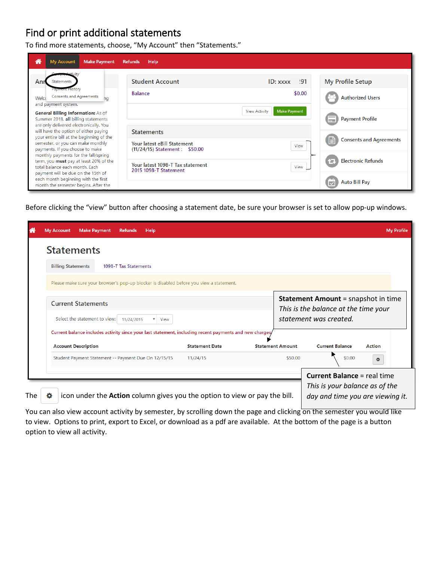#### <span id="page-3-0"></span>Find or print additional statements

To find more statements, choose, "My Account" then "Statements."

| <b>Make Payment</b><br><b>My Account</b><br>A<br><b>Refunds</b><br>Help                                                                                                                               |                                                               |                                                                                  |                                                                                    |  |  |
|-------------------------------------------------------------------------------------------------------------------------------------------------------------------------------------------------------|---------------------------------------------------------------|----------------------------------------------------------------------------------|------------------------------------------------------------------------------------|--|--|
| Ani<br>Statements<br>a <del>yment H</del> istory<br><b>Consents and Agreements</b><br>Welco<br>hq<br>and payment system.<br>General Billing Information: As of<br>Summer 2018, all billing statements | <b>Student Account</b><br><b>Balance</b>                      | :91<br><b>ID</b> : xxxx<br>\$0.00<br><b>Make Payment</b><br><b>View Activity</b> | <b>My Profile Setup</b><br><b>Authorized Users</b><br><b>Payment Profile</b><br>m. |  |  |
| are only delivered electronically. You<br>will have the option of either paying<br>your entire bill at the beginning of the                                                                           | <b>Statements</b>                                             |                                                                                  |                                                                                    |  |  |
| semester, or you can make monthly<br>payments. If you choose to make                                                                                                                                  | Your latest eBill Statement<br>(11/24/15) Statement : \$50.00 | View                                                                             | <b>Consents and Agreements</b><br>l≝ì                                              |  |  |
| monthly payments for the fall/spring<br>term, you must pay at least 20% of the<br>total balance each month. Each                                                                                      | Your latest 1098-T Tax statement<br>2015 1098-T Statement     | View                                                                             | <b>Electronic Refunds</b><br>n                                                     |  |  |
| payment will be due on the 15th of<br>each month beginning with the first<br>month the semester begins. After the                                                                                     |                                                               |                                                                                  | <b>Auto Bill Pay</b>                                                               |  |  |

Before clicking the "view" button after choosing a statement date, be sure your browser is set to allow pop-up windows.

|                       |                                                                                         | <b>My Profile</b>                                                                                                                                                                            |
|-----------------------|-----------------------------------------------------------------------------------------|----------------------------------------------------------------------------------------------------------------------------------------------------------------------------------------------|
|                       |                                                                                         |                                                                                                                                                                                              |
|                       |                                                                                         |                                                                                                                                                                                              |
|                       |                                                                                         |                                                                                                                                                                                              |
|                       |                                                                                         | <b>Statement Amount</b> = snapshot in time<br>This is the balance at the time your                                                                                                           |
|                       |                                                                                         | statement was created.                                                                                                                                                                       |
|                       |                                                                                         |                                                                                                                                                                                              |
| <b>Statement Date</b> | <b>Statement Amount</b>                                                                 | <b>Current Balance</b><br><b>Action</b>                                                                                                                                                      |
| 11/24/15              | \$50.00                                                                                 | \$0.00<br>۰                                                                                                                                                                                  |
|                       |                                                                                         | <b>Current Balance = real time</b><br>This is your balance as of the<br>day and time you are viewing it.                                                                                     |
|                       | Please make sure your browser's pop-up blocker is disabled before you view a statement. | Current balance includes activity since your last statement, including recent payments and new charges,<br>icon under the <b>Action</b> column gives you the option to view or pay the bill. |

You can also view account activity by semester, by scrolling down the page and clicking on the semester you would like to view. Options to print, export to Excel, or download as a pdf are available. At the bottom of the page is a button option to view all activity.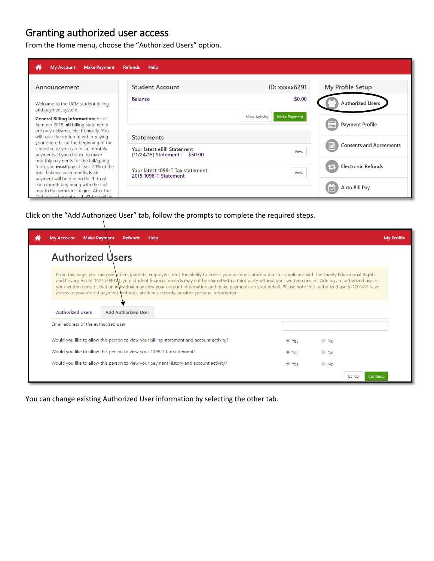### <span id="page-4-0"></span>Granting authorized user access

From the Home menu, choose the "Authorized Users" option.

| <b>Make Payment</b><br><b>My Account</b><br>m                                                                                                              | <b>Refunds</b><br><b>Help</b>                                 |                                             |                                       |
|------------------------------------------------------------------------------------------------------------------------------------------------------------|---------------------------------------------------------------|---------------------------------------------|---------------------------------------|
| Announcement                                                                                                                                               | <b>Student Account</b>                                        | <b>ID: xxxxx6291</b>                        | <b>My Profile Setup</b>               |
| Welcome to the UCM student billing                                                                                                                         | <b>Balance</b>                                                | \$0.00                                      | <b>Authorized Users</b>               |
| and payment system.<br><b>General Billing Information: As of</b><br>Summer 2018, all billing statements                                                    |                                                               | <b>Make Payment</b><br><b>View Activity</b> | <b>Payment Profile</b><br>a.          |
| are only delivered electronically. You<br>will have the option of either paying<br>your entire bill at the beginning of the                                | <b>Statements</b>                                             |                                             |                                       |
| semester, or you can make monthly<br>payments. If you choose to make                                                                                       | Your latest eBill Statement<br>(11/24/15) Statement : \$50.00 | View                                        | <b>Consents and Agreements</b><br>ا≐ا |
| monthly payments for the fall/spring<br>term, you <b>must</b> pay at least 20% of the<br>total balance each month. Each                                    | Your latest 1098-T Tax statement                              | View                                        | <b>Electronic Refunds</b><br>91       |
| payment will be due on the 15th of<br>each month beginning with the first<br>month the semester begins. After the<br>15th of each month a 1.5% fee will be | 2015 1098-T Statement                                         |                                             | <b>Auto Bill Pay</b>                  |

Click on the "Add Authorized User" tab, follow the prompts to complete the required steps.

| <b>Make Payment</b><br><b>My Account</b><br><b>Refunds</b><br>Help.                                                                                                                                                                                                                                                                                                                                                                                                                                                                                                                        |       |            |                    | <b>My Profile</b> |
|--------------------------------------------------------------------------------------------------------------------------------------------------------------------------------------------------------------------------------------------------------------------------------------------------------------------------------------------------------------------------------------------------------------------------------------------------------------------------------------------------------------------------------------------------------------------------------------------|-------|------------|--------------------|-------------------|
| <b>Authorized Users</b>                                                                                                                                                                                                                                                                                                                                                                                                                                                                                                                                                                    |       |            |                    |                   |
| From this page, you can give others (parents, employers, etc.) the ability to access your account information. In compliance with the Family Educational Rights<br>and Privacy Act of 1974 (FERPA), your student financial records may not be shared with a third party without your written consent. Adding an authorized user is<br>your written consent that an individual may view your account information and make payments on your behalf. Please note that authorized users DO NOT have<br>access to your stored payment methods, academic records, or other personal information. |       |            |                    |                   |
| <b>Add Authorized User</b><br><b>Authorized Users</b>                                                                                                                                                                                                                                                                                                                                                                                                                                                                                                                                      |       |            |                    |                   |
| Email address of the authorized user                                                                                                                                                                                                                                                                                                                                                                                                                                                                                                                                                       |       |            |                    |                   |
| Would you like to allow this person to view your billing statement and account activity?                                                                                                                                                                                                                                                                                                                                                                                                                                                                                                   | ● Yes | $\circ$ No |                    |                   |
| Would you like to allow this person to view your 1098-T tax statement?                                                                                                                                                                                                                                                                                                                                                                                                                                                                                                                     | ● Yes | $\circ$ No |                    |                   |
| Would you like to allow this person to view your payment history and account activity?                                                                                                                                                                                                                                                                                                                                                                                                                                                                                                     | ◎ Yes | $\circ$ No |                    |                   |
|                                                                                                                                                                                                                                                                                                                                                                                                                                                                                                                                                                                            |       |            | Continue<br>Cancel |                   |

You can change existing Authorized User information by selecting the other tab.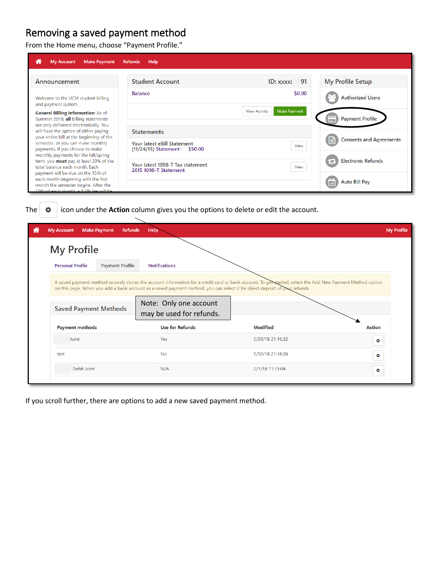#### <span id="page-5-0"></span>Removing a saved payment method

From the Home menu, choose "Payment Profile."

| <b>Make Payment</b><br><b>My Account</b><br>m                                                                                                              | <b>Refunds</b><br>Help                                        |                                             |                                       |
|------------------------------------------------------------------------------------------------------------------------------------------------------------|---------------------------------------------------------------|---------------------------------------------|---------------------------------------|
| Announcement                                                                                                                                               | <b>Student Account</b>                                        | 91<br><b>ID:</b> xxxx                       | My Profile Setup                      |
| Welcome to the UCM student billing<br>and payment system.                                                                                                  | <b>Balance</b>                                                | \$0.00                                      | <b>Authorized Users</b>               |
| General Billing Information: As of<br>Summer 2018, all billing statements<br>are only delivered electronically. You                                        |                                                               | <b>Make Payment</b><br><b>View Activity</b> | <b>Payment Profile</b><br>1           |
| will have the option of either paying<br>your entire bill at the beginning of the                                                                          | <b>Statements</b>                                             |                                             |                                       |
| semester, or you can make monthly<br>payments. If you choose to make                                                                                       | Your latest eBill Statement<br>(11/24/15) Statement : \$50.00 | View                                        | <b>Consents and Agreements</b><br>ا≐ا |
| monthly payments for the fall/spring<br>term, you must pay at least 20% of the<br>total balance each month. Each                                           | Your latest 1098-T Tax statement<br>2015 1098-T Statement     | View                                        | <b>Electronic Refunds</b><br>YЧ       |
| payment will be due on the 15th of<br>each month beginning with the first<br>month the semester begins. After the<br>15th of each month a 1.5% fee will be |                                                               |                                             | <b>Auto Bill Pay</b><br>M             |

The  $\frac{1}{2}$  icon under the **Action** column gives you the options to delete or edit the account.

| <b>My Account</b>            | <b>Make Payment</b><br><b>Refunds</b> | Help <sup>-</sup>                                                                                                                                                                                                                                                                        |                  | <b>My Profile</b> |
|------------------------------|---------------------------------------|------------------------------------------------------------------------------------------------------------------------------------------------------------------------------------------------------------------------------------------------------------------------------------------|------------------|-------------------|
| <b>My Profile</b>            |                                       |                                                                                                                                                                                                                                                                                          |                  |                   |
| <b>Personal Profile</b>      | <b>Payment Profile</b>                | <b>Notifications</b>                                                                                                                                                                                                                                                                     |                  |                   |
|                              |                                       | A saved payment method securely stores the account information for a credit card or bank account. To get started, select the Add New Payment Method option<br>on this page. When you add a bank account as a saved payment method, you can select it for direct deposit of your refunds. |                  |                   |
| <b>Saved Payment Methods</b> |                                       | Note: Only one account<br>may be used for refunds.                                                                                                                                                                                                                                       |                  |                   |
| <b>Payment methods</b>       |                                       | <b>Use for Refunds</b>                                                                                                                                                                                                                                                                   | <b>Modified</b>  | <b>Action</b>     |
| Joint                        |                                       | Yes                                                                                                                                                                                                                                                                                      | 5/30/18 21:16:32 | ۰                 |
| test                         |                                       | <b>No</b>                                                                                                                                                                                                                                                                                | 5/30/18 21:16:26 | ۰                 |
| Debit Joint                  |                                       | N/A                                                                                                                                                                                                                                                                                      | 2/1/18 11:31:04  | ۰                 |
|                              |                                       |                                                                                                                                                                                                                                                                                          |                  |                   |

If you scroll further, there are options to add a new saved payment method.